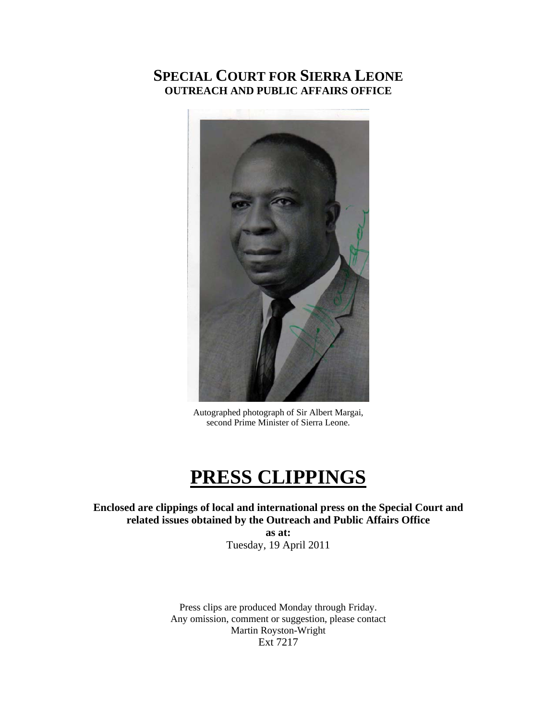## **SPECIAL COURT FOR SIERRA LEONE OUTREACH AND PUBLIC AFFAIRS OFFICE**



Autographed photograph of Sir Albert Margai, second Prime Minister of Sierra Leone.

# **PRESS CLIPPINGS**

**Enclosed are clippings of local and international press on the Special Court and related issues obtained by the Outreach and Public Affairs Office** 

**as at:**  Tuesday, 19 April 2011

Press clips are produced Monday through Friday. Any omission, comment or suggestion, please contact Martin Royston-Wright Ext 7217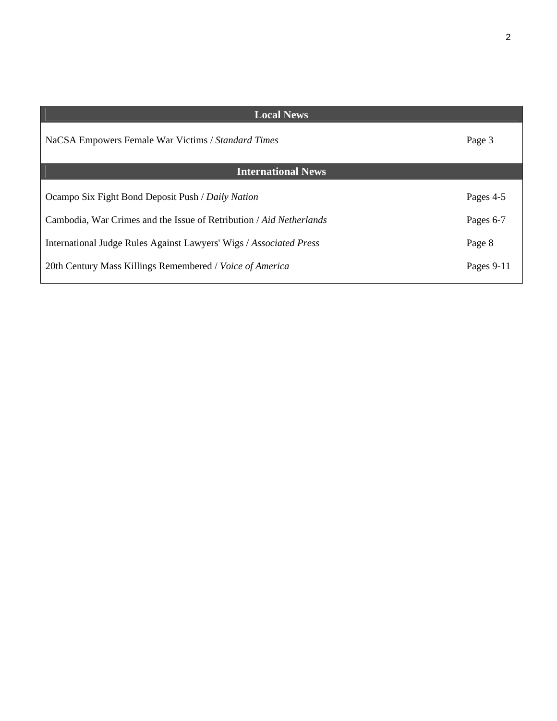| <b>Local News</b>                                                   |            |
|---------------------------------------------------------------------|------------|
| NaCSA Empowers Female War Victims / Standard Times                  | Page 3     |
| <b>International News</b>                                           |            |
| Ocampo Six Fight Bond Deposit Push / Daily Nation                   | Pages 4-5  |
| Cambodia, War Crimes and the Issue of Retribution / Aid Netherlands | Pages 6-7  |
| International Judge Rules Against Lawyers' Wigs / Associated Press  | Page 8     |
| 20th Century Mass Killings Remembered / Voice of America            | Pages 9-11 |
|                                                                     |            |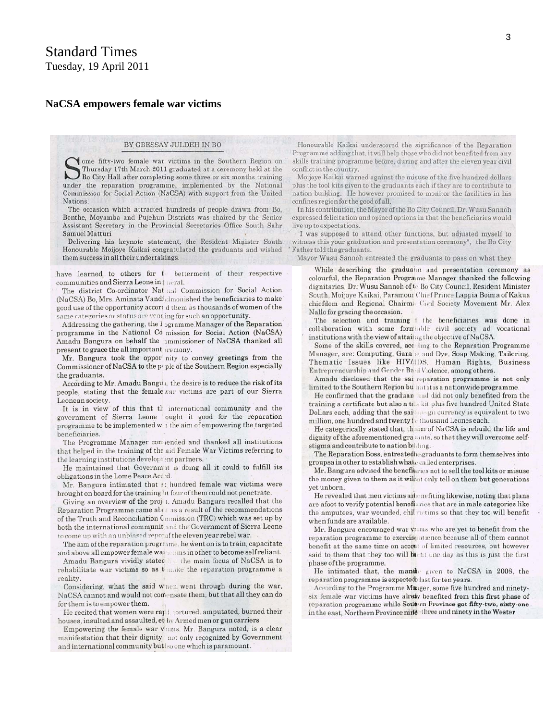### Standard Times Tuesday, 19 April 2011

#### **NaCSA empowers female war victims**

#### BY GBESSAY JULDEH IN BO

ome fifty-two female war victims in the Southern Region on Thursday 17th March 2011 graduated at a ceremony held at the Bo City Hall after completing some three or six months training under the reparation programme, implemented by the National Commission for Social Action (NaCSA) with support from the United Nations.

The occasion which attracted hundreds of people drawn from Bo, Bonthe, Moyamba and Pujehun Districts was chaired by the Senior Assistant Secretary in the Provincial Secretaries Office South Sahr Samuel Matturi

Delivering his keynote statement, the Resident Minister South Honourable Moijoye Kaikai congratulated the graduants and wished them success in all their undertakings.

have learned to others for t betterment of their respective communities and Sierra Leone in [ neral.

The district Co-ordinator Nat and Commission for Social Action (NaCSA) Bo, Mrs. Aminata Vandi dmonished the beneficiaries to make good use of the opportunity accord them as thousands of women of the same categories or status are year ing for such an opportunity.

Addressing the gathering, the I ogramme Manager of the Reparation programme in the National Co mission for Social Action (NaCSA) Amadu Bangura on behalf the ommissioner of NaCSA thanked all present to grace the all important iremony.

Mr. Bangura took the oppor nity to convey greetings from the Commissioner of NaCSA to the pyple of the Southern Region especially the graduants.

According to Mr. Amadu Bangu i, the desire is to reduce the risk of its people, stating that the female var victims are part of our Sierra Leonean society.

It is in view of this that the international community and the government of Sierra Leone ought it good for the reparation programme to be implemented w 1 the aim of empowering the targeted beneficiaries.

The Programme Manager comiended and thanked all institutions that helped in the training of the aid Female War Victims referring to the learning institutions development partners.

He maintained that Governm it is doing all it could to fulfill its obligations in the Lome Peace Acc:d.

Mr. Bangura intimated that s: hundred female war victims were brought on board for the training lit four of them could not penetrate.

Giving an overview of the projet. Amadu Bangura recalled that the Reparation Programme came about as a result of the recommendations of the Truth and Reconciliation Cmmission (TRC) which was set up by both the international communit; and the Government of Sierra Leone to come up with an unbiased report of the eleven year rebel war.

The aim of the reparation programe, he went on is to train, capacitate and above all empower female water ms in other to become self reliant.

Amadu Bangura vividly stated in the main focus of NaCSA is to rehabilitate war victims so as t make the reparation programme a reality.

Considering, what the said when went through during the war, NaCSA cannot and would not contensate them, but that all they can do for them is to empower them.

He recited that women were raj i tortured, amputated, burned their houses, insulted and assaulted, et by Armed men or gun carriers

Empowering the female war vitims. Mr. Bangura noted, is a clear manifestation that their dignity not only recognized by Government and international community but Iso one which is paramount.

Honourable Kaikai underscored the significance of the Reparation Programme adding that, it will help those who did not benefited from any skills training programme before, during and after the eleven year civil conflict in the country.

Moijoye Kaikai warned against the misuse of the five hundred dollars plus the tool kits given to the graduants each if they are to contribute to nation building. He however promised to monitor the facilities in his confines region for the good of all.

In his contribution, the Mayor of the Bo City Council, Dr. Wusu Sannoh expressed felicitation and opined options in that the beneficiaries would live up to expectations.

"I was supposed to attend other functions, but adjusted myself to witness this your graduation and presentation ceremony", the Bo City Father told the graduants.

Mayor Wusu Sannoh entreated the graduants to pass on what they

While describing the graduabn and presentation ceremony as colourful, the Reparation Programe Manager thanked the following dignitaries, Dr. Wusu Sannoh of to Bo City Council, Resident Minister South, Moijoye Kaikai, Paramour Chief Prince Lappia Boima of Kakua chiefdom and Regional Chairm: Civil Society Movement Mr. Alex Nallo for gracing the occasion.

The selection and training ! the beneficiaries was done in collaboration with some formtable civil society ad vocational institutions with the view of attaing the objective of NaCSA.

Some of the skills covered, according to the Reparation Programme Manager, are: Computing, Gara ie and Dye, Soap Making, Tailoring, Thematic Issues like HIV//IDS. Human Rights, Business Entrepreneurship and Gender Baid Violence, among others.

Amadu disclosed that the sai reparation programme is not only limited to the Southern Region bu hat it is a nationwide programme.

He confirmed that the graduan and did not only benefited from the training a certificate but also a to. kit plus five hundred United State Dollars each, adding that the sail and currency is equivalent to two million, one hundred and twenty foulthousand Leones each.

He categorically stated that, thaim of NaCSA is rebuild the life and dignity of the aforementioned grants, so that they will overcome selfstigma and contribute to nation bilding.

The Reparation Boss, entreatedhe graduants to form themselves into groupsa in other to establish whate called enterprises.

Mr. Bangura advised the benefitures not to sell the tool kits or misuse the money given to them as it wilnot only tell on them but generations yet unborn.

He revealed that men victims are enefiting likewise, noting that plans are afoot to verify potential benefiaries that are in male categories like the amputees, war wounded, chil victims so that they too will benefit when funds are available.

Mr. Bangura encouraged war visms who are yet to benefit from the reparation programme to exercise attence because all of them cannot benefit at the same time on accent of limited resources, but however said to them that they too will bucht one day as this is just the first phase of the programme.

He intimated that, the manike given to NaCSA in 2008, the reparation programme is expected last for ten years.

According to the Programme Manger, some five hundred and ninetysix female war victims have alredy benefited from this first phase of reparation programme while Soutern Province got fifty-two, sixty-one in the east, Northern Province nine three and ninety in the Wester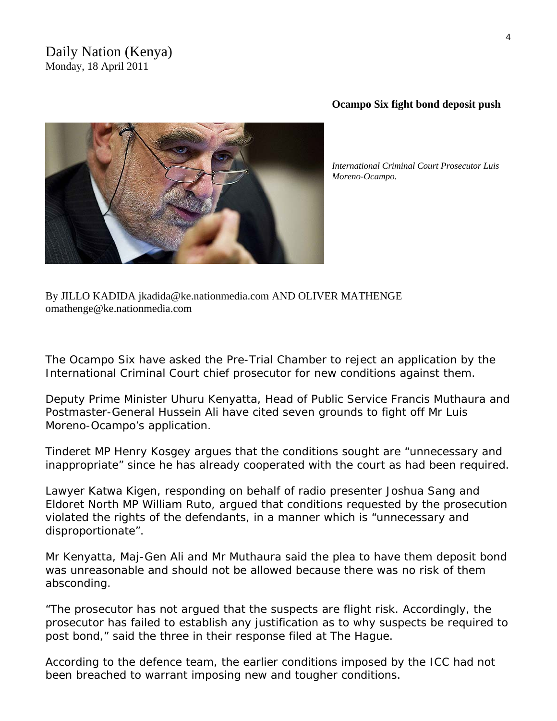### Daily Nation (Kenya) Monday, 18 April 2011



*International Criminal Court Prosecutor Luis* 

**Ocampo Six fight bond deposit push** 

By JILLO KADIDA jkadida@ke.nationmedia.com AND OLIVER MATHENGE [omathenge@ke.nationmedia.com](mailto:omathenge@ke.nationmedia.com) 

The Ocampo Six have asked the Pre-Trial Chamber to reject an application by the International Criminal Court chief prosecutor for new conditions against them.

Deputy Prime Minister Uhuru Kenyatta, Head of Public Service Francis Muthaura and Postmaster-General Hussein Ali have cited seven grounds to fight off Mr Luis Moreno-Ocampo's application.

Tinderet MP Henry Kosgey argues that the conditions sought are "unnecessary and inappropriate" since he has already cooperated with the court as had been required.

Lawyer Katwa Kigen, responding on behalf of radio presenter Joshua Sang and Eldoret North MP William Ruto, argued that conditions requested by the prosecution violated the rights of the defendants, in a manner which is "unnecessary and disproportionate".

Mr Kenyatta, Maj-Gen Ali and Mr Muthaura said the plea to have them deposit bond was unreasonable and should not be allowed because there was no risk of them absconding.

"The prosecutor has not argued that the suspects are flight risk. Accordingly, the prosecutor has failed to establish any justification as to why suspects be required to post bond," said the three in their response filed at The Hague.

According to the defence team, the earlier conditions imposed by the ICC had not been breached to warrant imposing new and tougher conditions.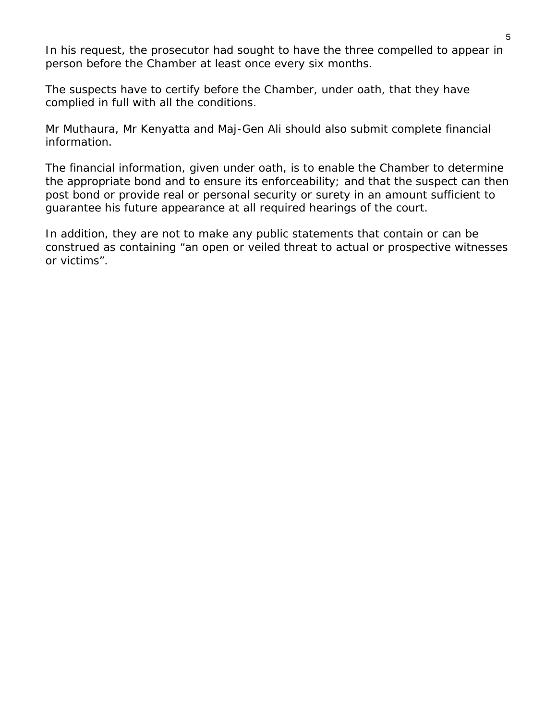In his request, the prosecutor had sought to have the three compelled to appear in person before the Chamber at least once every six months.

The suspects have to certify before the Chamber, under oath, that they have complied in full with all the conditions.

Mr Muthaura, Mr Kenyatta and Maj-Gen Ali should also submit complete financial information.

The financial information, given under oath, is to enable the Chamber to determine the appropriate bond and to ensure its enforceability; and that the suspect can then post bond or provide real or personal security or surety in an amount sufficient to guarantee his future appearance at all required hearings of the court.

In addition, they are not to make any public statements that contain or can be construed as containing "an open or veiled threat to actual or prospective witnesses or victims".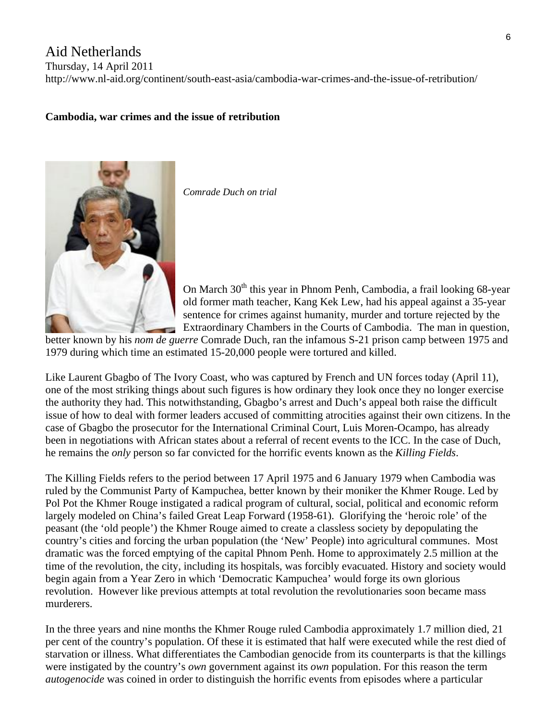### Aid Netherlands

Thursday, 14 April 2011

http://www.nl-aid.org/continent/south-east-asia/cambodia-war-crimes-and-the-issue-of-retribution/

### **[Cambodia, war crimes and the issue of retribution](http://www.nl-aid.org/continent/south-east-asia/cambodia-war-crimes-and-the-issue-of-retribution/)**



*Comrade Duch on trial* 

On March  $30<sup>th</sup>$  this year in Phnom Penh, Cambodia, a frail looking 68-year old former math teacher, Kang Kek Lew, had his appeal against a 35-year sentence for crimes against humanity, murder and torture rejected by the Extraordinary Chambers in the Courts of Cambodia. The man in question,

[better known by his](http://www.nl-aid.org/wp-content/uploads/2011/04/Comrade-Duch.jpg) *nom de guerre* Comrade Duch, ran the infamous S-21 prison camp between 1975 and 1979 during which time an estimated 15-20,000 people were tortured and killed.

L ike Laurent Gbagbo of The Ivory Coast, who was captured by French and UN forces today (April 11), one of the most striking things about such figures is how ordinary they look once they no longer exercise the authority they had. This notwithstanding, Gbagbo's arrest and Duch's appeal both raise the difficult issue of how to deal with former leaders accused of committing atrocities against their own citizens. In the case of Gbagbo the prosecutor for the International Criminal Court, Luis Moren-Ocampo, has already been in negotiations with African states about a referral of recent events to the ICC. In the case of Duch, he remains the *only* person so far convicted for the horrific events known as the *Killing Fields*.

The Killing Fields refers to the period between 17 April 1975 and 6 January 1979 when Cambodia was country's cities and forcing the urban population (the 'New' People) into agricultural communes. Most revolution. However like previous attempts at total revolution the revolutionaries soon became mass ruled by the Communist Party of Kampuchea, better known by their moniker the Khmer Rouge. Led by Pol Pot the Khmer Rouge instigated a radical program of cultural, social, political and economic reform largely modeled on China's failed Great Leap Forward (1958-61). Glorifying the 'heroic role' of the peasant (the 'old people') the Khmer Rouge aimed to create a classless society by depopulating the dramatic was the forced emptying of the capital Phnom Penh. Home to approximately 2.5 million at the time of the revolution, the city, including its hospitals, was forcibly evacuated. History and society would begin again from a Year Zero in which 'Democratic Kampuchea' would forge its own glorious murderers.

In the three years and nine months the Khmer Rouge ruled Cambodia approximately 1.7 million died, 21 per cent of the country's population. Of these it is estimated that half were executed while the rest died of starvation or illness. What differentiates the Cambodian genocide from its counterparts is that the killings were instigated by the country's *own* government against its *own* population. For this reason the term *autogenocide* was coined in order to distinguish the horrific events from episodes where a particular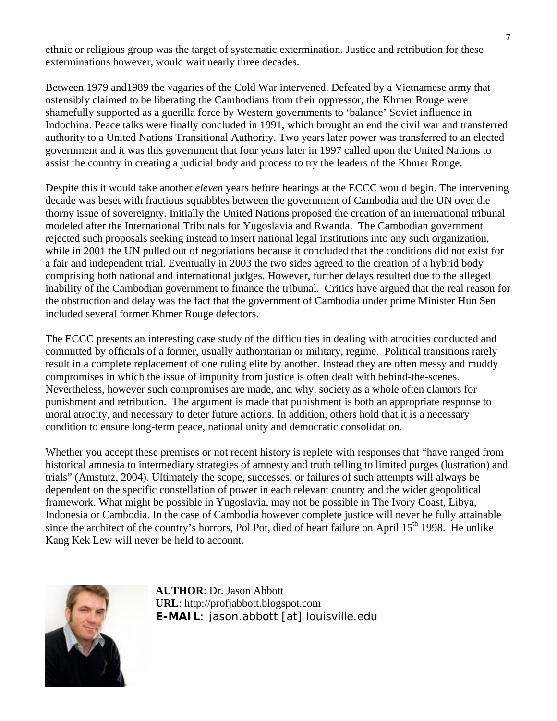ethnic or religious group was the target of systematic extermination. Justice and retribution for these exterminations however, would wait nearly three decades.

Between 1979 and1989 the vagaries of the Cold War intervened. Defeated by a Vietnamese army that ostensibly claimed to be liberating the Cambodians from their oppressor, the Khmer Rouge were shamefully supported as a guerilla force by Western governments to 'balance' Soviet influence in Indochina. Peace talks were finally concluded in 1991, which brought an end the civil war and transferred authority to a United Nations Transitional Authority. Two years later power was transferred to an elected government and it was this government that four years later in 1997 called upon the United Nations to assist the country in creating a judicial body and process to try the leaders of the Khmer Rouge.

Despite this it would take another *eleven* years before hearings at the ECCC would begin. The intervening decade was beset with fractious squabbles between the government of Cambodia and the UN over the thorny issue of sovereignty. Initially the United Nations proposed the creation of an international tribunal modeled after the International Tribunals for Yugoslavia and Rwanda. The Cambodian government rejected such proposals seeking instead to insert national legal institutions into any such organization, while in 2001 the UN pulled out of negotiations because it concluded that the conditions did not exist for a fair and independent trial. Eventually in 2003 the two sides agreed to the creation of a hybrid body comprising both national and international judges. However, further delays resulted due to the alleged inability of the Cambodian government to finance the tribunal. Critics have argued that the real reason for the obstruction and delay was the fact that the government of Cambodia under prime Minister Hun Sen included several former Khmer Rouge defectors.

The ECCC presents an interesting case study of the difficulties in dealing with atrocities conducted and committed by officials of a former, usually authoritarian or military, regime. Political transitions rarely result in a complete replacement of one ruling elite by another. Instead they are often messy and muddy compromises in which the issue of impunity from justice is often dealt with behind-the-scenes. Nevertheless, however such compromises are made, and why, society as a whole often clamors for punishment and retribution. The argument is made that punishment is both an appropriate response to moral atrocity, and necessary to deter future actions. In addition, others hold that it is a necessary condition to ensure long-term peace, national unity and democratic consolidation.

Whether you accept these premises or not recent history is replete with responses that "have ranged from historical amnesia to intermediary strategies of amnesty and truth telling to limited purges (lustration) and trials" (Amstutz, 2004). Ultimately the scope, successes, or failures of such attempts will always be dependent on the specific constellation of power in each relevant country and the wider geopolitical framework. What might be possible in Yugoslavia, may not be possible in The Ivory Coast, Libya, Indonesia or Cambodia. In the case of Cambodia however complete justice will never be fully attainable since the architect of the country's horrors, Pol Pot, died of heart failure on April  $15<sup>th</sup>$  1998. He unlike Kang Kek Lew will never be held to account.



**AUTHOR**: Dr. Jason Abbott **URL**: [http://profjabbott.blogspot.com](http://profjabbott.blogspot.com/) **E-MAIL**: jason.abbott [at] louisville.edu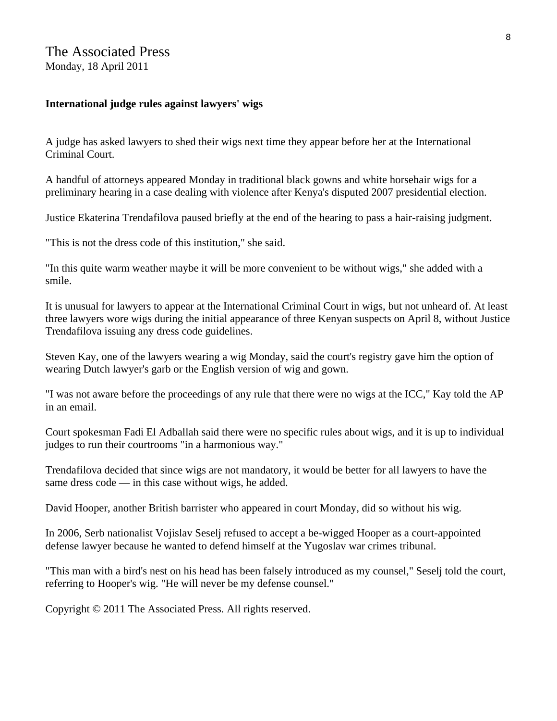### The Associated Press

Monday, 18 April 2011

### **International judge rules against lawyers' wigs**

A judge has asked lawyers to shed their wigs next time they appear before her at the International Criminal Court.

A handful of attorneys appeared Monday in traditional black gowns and white horsehair wigs for a preliminary hearing in a case dealing with violence after Kenya's disputed 2007 presidential election.

Justice Ekaterina Trendafilova paused briefly at the end of the hearing to pass a hair-raising judgment.

"This is not the dress code of this institution," she said.

"In this quite warm weather maybe it will be more convenient to be without wigs," she added with a smile.

It is unusual for lawyers to appear at the International Criminal Court in wigs, but not unheard of. At least three lawyers wore wigs during the initial appearance of three Kenyan suspects on April 8, without Justice Trendafilova issuing any dress code guidelines.

Steven Kay, one of the lawyers wearing a wig Monday, said the court's registry gave him the option of wearing Dutch lawyer's garb or the English version of wig and gown.

"I was not aware before the proceedings of any rule that there were no wigs at the ICC," Kay told the AP in an email.

Court spokesman Fadi El Adballah said there were no specific rules about wigs, and it is up to individual judges to run their courtrooms "in a harmonious way."

Trendafilova decided that since wigs are not mandatory, it would be better for all lawyers to have the same dress code — in this case without wigs, he added.

David Hooper, another British barrister who appeared in court Monday, did so without his wig.

In 2006, Serb nationalist Vojislav Seselj refused to accept a be-wigged Hooper as a court-appointed defense lawyer because he wanted to defend himself at the Yugoslav war crimes tribunal.

"This man with a bird's nest on his head has been falsely introduced as my counsel," Seselj told the court, referring to Hooper's wig. "He will never be my defense counsel."

Copyright © 2011 The Associated Press. All rights reserved.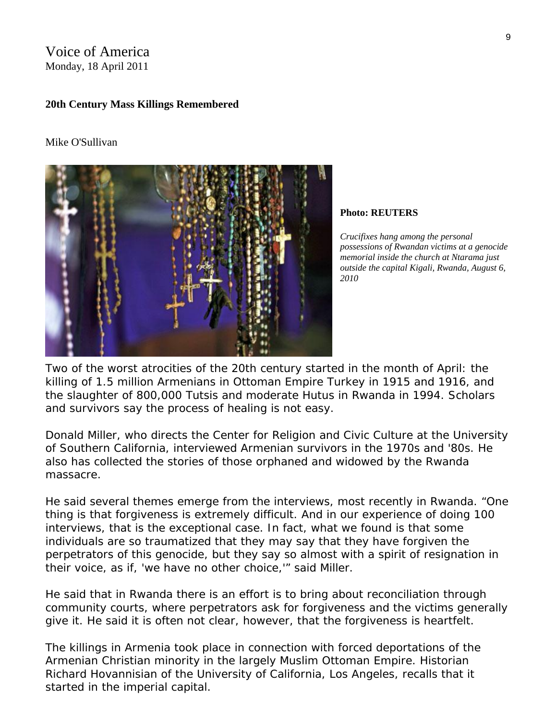Voice of America Monday, 18 April 2011

#### **20th Century Mass Killings Remembered**

#### Mike O'Sullivan



**Photo: REUTERS** 

*Crucifixes hang among the personal possessions of Rwandan victims at a genocide memorial inside the church at Ntarama just outside the capital Kigali, Rwanda, August 6, 2010* 

Two of the worst atrocities of the 20th century started in the month of April: the killing of 1.5 million Armenians in Ottoman Empire Turkey in 1915 and 1916, and the slaughter of 800,000 Tutsis and moderate Hutus in Rwanda in 1994. Scholars and survivors say the process of healing is not easy.

Donald Miller, who directs the Center for Religion and Civic Culture at the University of Southern California, interviewed Armenian survivors in the 1970s and '80s. He also has collected the stories of those orphaned and widowed by the Rwanda massacre.

He said several themes emerge from the interviews, most recently in Rwanda. "One thing is that forgiveness is extremely difficult. And in our experience of doing 100 interviews, that is the exceptional case. In fact, what we found is that some individuals are so traumatized that they may say that they have forgiven the perpetrators of this genocide, but they say so almost with a spirit of resignation in their voice, as if, 'we have no other choice,'" said Miller.

He said that in Rwanda there is an effort is to bring about reconciliation through community courts, where perpetrators ask for forgiveness and the victims generally give it. He said it is often not clear, however, that the forgiveness is heartfelt.

The killings in Armenia took place in connection with forced deportations of the Armenian Christian minority in the largely Muslim Ottoman Empire. Historian Richard Hovannisian of the University of California, Los Angeles, recalls that it started in the imperial capital.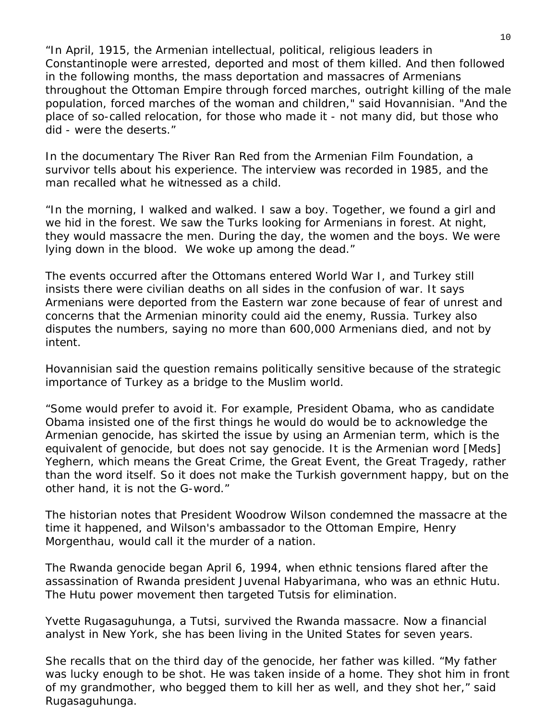"In April, 1915, the Armenian intellectual, political, religious leaders in Constantinople were arrested, deported and most of them killed. And then followed in the following months, the mass deportation and massacres of Armenians throughout the Ottoman Empire through forced marches, outright killing of the male population, forced marches of the woman and children," said Hovannisian. "And the place of so-called relocation, for those who made it - not many did, but those who did - were the deserts."

In the documentary The River Ran Red from the Armenian Film Foundation, a survivor tells about his experience. The interview was recorded in 1985, and the man recalled what he witnessed as a child.

"In the morning, I walked and walked. I saw a boy. Together, we found a girl and we hid in the forest. We saw the Turks looking for Armenians in forest. At night, they would massacre the men. During the day, the women and the boys. We were lying down in the blood. We woke up among the dead."

The events occurred after the Ottomans entered World War I, and Turkey still insists there were civilian deaths on all sides in the confusion of war. It says Armenians were deported from the Eastern war zone because of fear of unrest and concerns that the Armenian minority could aid the enemy, Russia. Turkey also disputes the numbers, saying no more than 600,000 Armenians died, and not by intent.

Hovannisian said the question remains politically sensitive because of the strategic importance of Turkey as a bridge to the Muslim world.

"Some would prefer to avoid it. For example, President Obama, who as candidate Obama insisted one of the first things he would do would be to acknowledge the Armenian genocide, has skirted the issue by using an Armenian term, which is the equivalent of genocide, but does not say genocide. It is the Armenian word [Meds] Yeghern, which means the Great Crime, the Great Event, the Great Tragedy, rather than the word itself. So it does not make the Turkish government happy, but on the other hand, it is not the G-word."

The historian notes that President Woodrow Wilson condemned the massacre at the time it happened, and Wilson's ambassador to the Ottoman Empire, Henry Morgenthau, would call it the murder of a nation.

The Rwanda genocide began April 6, 1994, when ethnic tensions flared after the assassination of Rwanda president Juvenal Habyarimana, who was an ethnic Hutu. The Hutu power movement then targeted Tutsis for elimination.

Yvette Rugasaguhunga, a Tutsi, survived the Rwanda massacre. Now a financial analyst in New York, she has been living in the United States for seven years.

She recalls that on the third day of the genocide, her father was killed. "My father was lucky enough to be shot. He was taken inside of a home. They shot him in front of my grandmother, who begged them to kill her as well, and they shot her," said Rugasaguhunga.